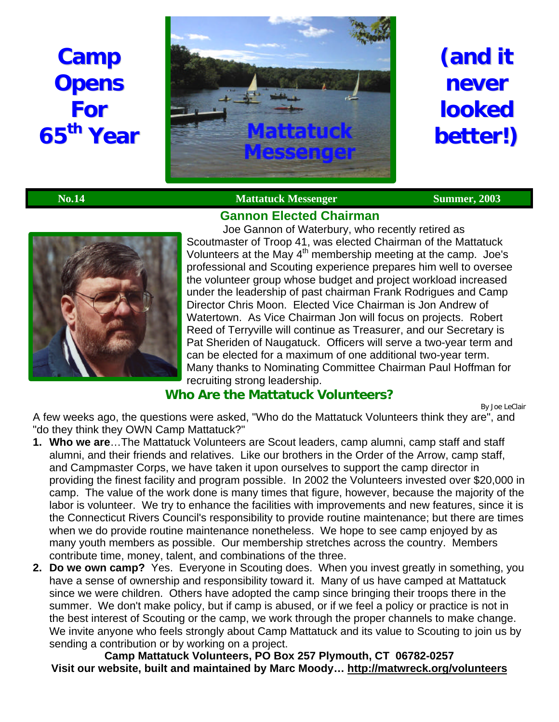# **Camp Opens For 65 th Year**



# **(and it never looked better!)**

## **No.14** Mattatuck Messenger Summer, 2003



Joe Gannon of Waterbury, who recently retired as Scoutmaster of Troop 41, was elected Chairman of the Mattatuck Volunteers at the May 4<sup>th</sup> membership meeting at the camp. Joe's professional and Scouting experience prepares him well to oversee the volunteer group whose budget and project workload increased under the leadership of past chairman Frank Rodrigues and Camp Director Chris Moon. Elected Vice Chairman is Jon Andrew of Watertown. As Vice Chairman Jon will focus on projects. Robert Reed of Terryville will continue as Treasurer, and our Secretary is Pat Sheriden of Naugatuck. Officers will serve a two-year term and can be elected for a maximum of one additional two-year term. Many thanks to Nominating Committee Chairman Paul Hoffman for recruiting strong leadership.

## **Who Are the Mattatuck Volunteers?**

By Joe LeClair

A few weeks ago, the questions were asked, "Who do the Mattatuck Volunteers think they are", and "do they think they OWN Camp Mattatuck?"

- **1. Who we are**…The Mattatuck Volunteers are Scout leaders, camp alumni, camp staff and staff alumni, and their friends and relatives. Like our brothers in the Order of the Arrow, camp staff, and Campmaster Corps, we have taken it upon ourselves to support the camp director in providing the finest facility and program possible. In 2002 the Volunteers invested over \$20,000 in camp. The value of the work done is many times that figure, however, because the majority of the labor is volunteer. We try to enhance the facilities with improvements and new features, since it is the Connecticut Rivers Council's responsibility to provide routine maintenance; but there are times when we do provide routine maintenance nonetheless. We hope to see camp enjoyed by as many youth members as possible. Our membership stretches across the country. Members contribute time, money, talent, and combinations of the three.
- **2. Do we own camp?** Yes. Everyone in Scouting does. When you invest greatly in something, you have a sense of ownership and responsibility toward it. Many of us have camped at Mattatuck since we were children. Others have adopted the camp since bringing their troops there in the summer. We don't make policy, but if camp is abused, or if we feel a policy or practice is not in the best interest of Scouting or the camp, we work through the proper channels to make change. We invite anyone who feels strongly about Camp Mattatuck and its value to Scouting to join us by sending a contribution or by working on a project.

**Camp Mattatuck Volunteers, PO Box 257 Plymouth, CT 06782-0257 Visit our website, built and maintained by Marc Moody… http://matwreck.org/volunteers**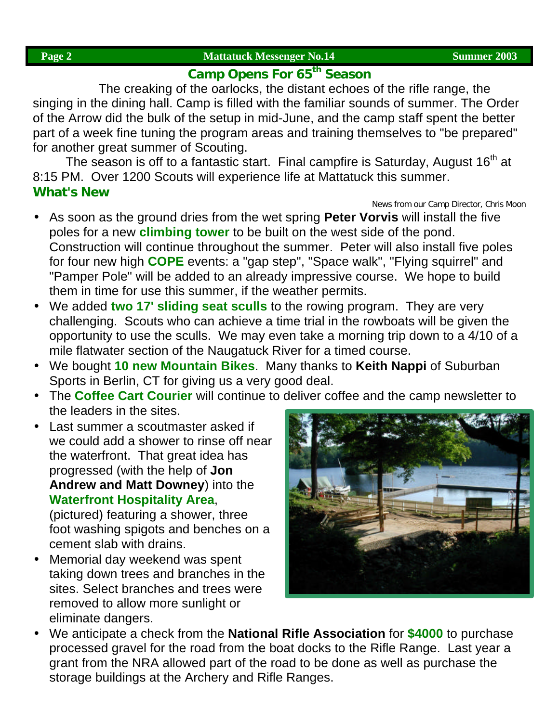## **Camp Opens For 65th Season**

The creaking of the oarlocks, the distant echoes of the rifle range, the singing in the dining hall. Camp is filled with the familiar sounds of summer. The Order of the Arrow did the bulk of the setup in mid-June, and the camp staff spent the better part of a week fine tuning the program areas and training themselves to "be prepared" for another great summer of Scouting.

The season is off to a fantastic start. Final campfire is Saturday, August  $16<sup>th</sup>$  at 8:15 PM. Over 1200 Scouts will experience life at Mattatuck this summer. **What's New**

### *News from our Camp Director, Chris Moon*

- As soon as the ground dries from the wet spring **Peter Vorvis** will install the five poles for a new **climbing tower** to be built on the west side of the pond. Construction will continue throughout the summer. Peter will also install five poles for four new high **COPE** events: a "gap step", "Space walk", "Flying squirrel" and "Pamper Pole" will be added to an already impressive course. We hope to build them in time for use this summer, if the weather permits.
- We added **two 17' sliding seat sculls** to the rowing program. They are very challenging. Scouts who can achieve a time trial in the rowboats will be given the opportunity to use the sculls. We may even take a morning trip down to a 4/10 of a mile flatwater section of the Naugatuck River for a timed course.
- We bought **10 new Mountain Bikes**. Many thanks to **Keith Nappi** of Suburban Sports in Berlin, CT for giving us a very good deal.
- The **Coffee Cart Courier** will continue to deliver coffee and the camp newsletter to the leaders in the sites.
- Last summer a scoutmaster asked if we could add a shower to rinse off near the waterfront. That great idea has progressed (with the help of **Jon Andrew and Matt Downey**) into the **Waterfront Hospitality Area**,

(pictured) featuring a shower, three foot washing spigots and benches on a cement slab with drains.

• Memorial day weekend was spent taking down trees and branches in the sites. Select branches and trees were removed to allow more sunlight or eliminate dangers.



• We anticipate a check from the **National Rifle Association** for **\$4000** to purchase processed gravel for the road from the boat docks to the Rifle Range. Last year a grant from the NRA allowed part of the road to be done as well as purchase the storage buildings at the Archery and Rifle Ranges.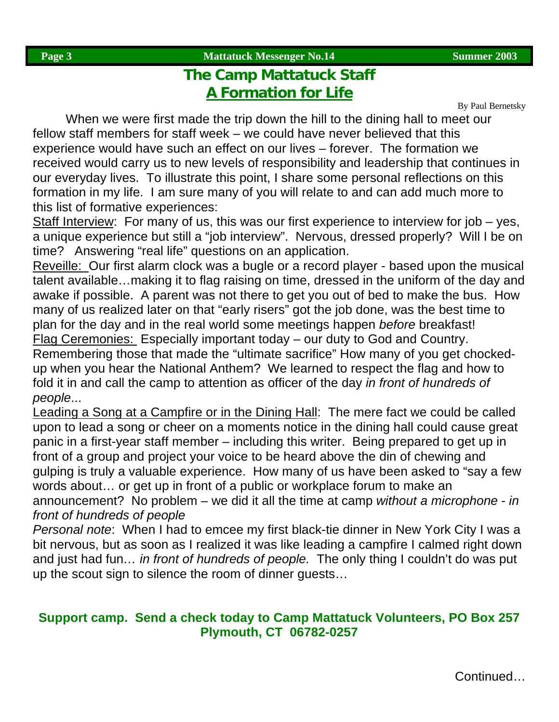## **The Camp Mattatuck Staff A Formation for Life**

By Paul Bernetsky

When we were first made the trip down the hill to the dining hall to meet our fellow staff members for staff week – we could have never believed that this experience would have such an effect on our lives – forever. The formation we received would carry us to new levels of responsibility and leadership that continues in our everyday lives. To illustrate this point, I share some personal reflections on this formation in my life. I am sure many of you will relate to and can add much more to this list of formative experiences:

Staff Interview: For many of us, this was our first experience to interview for job – yes, a unique experience but still a "job interview". Nervous, dressed properly? Will I be on time? Answering "real life" questions on an application.

Reveille: Our first alarm clock was a bugle or a record player - based upon the musical talent available…making it to flag raising on time, dressed in the uniform of the day and awake if possible. A parent was not there to get you out of bed to make the bus. How many of us realized later on that "early risers" got the job done, was the best time to plan for the day and in the real world some meetings happen *before* breakfast! Flag Ceremonies: Especially important today – our duty to God and Country. Remembering those that made the "ultimate sacrifice" How many of you get chockedup when you hear the National Anthem? We learned to respect the flag and how to fold it in and call the camp to attention as officer of the day *in front of hundreds of people*...

Leading a Song at a Campfire or in the Dining Hall: The mere fact we could be called upon to lead a song or cheer on a moments notice in the dining hall could cause great panic in a first-year staff member – including this writer. Being prepared to get up in front of a group and project your voice to be heard above the din of chewing and gulping is truly a valuable experience. How many of us have been asked to "say a few words about… or get up in front of a public or workplace forum to make an

announcement? No problem – we did it all the time at camp *without a microphone* - *in front of hundreds of people*

*Personal note*: When I had to emcee my first black-tie dinner in New York City I was a bit nervous, but as soon as I realized it was like leading a campfire I calmed right down and just had fun*… in front of hundreds of people.* The only thing I couldn't do was put up the scout sign to silence the room of dinner guests…

## **Support camp. Send a check today to Camp Mattatuck Volunteers, PO Box 257 Plymouth, CT 06782-0257**

Continued…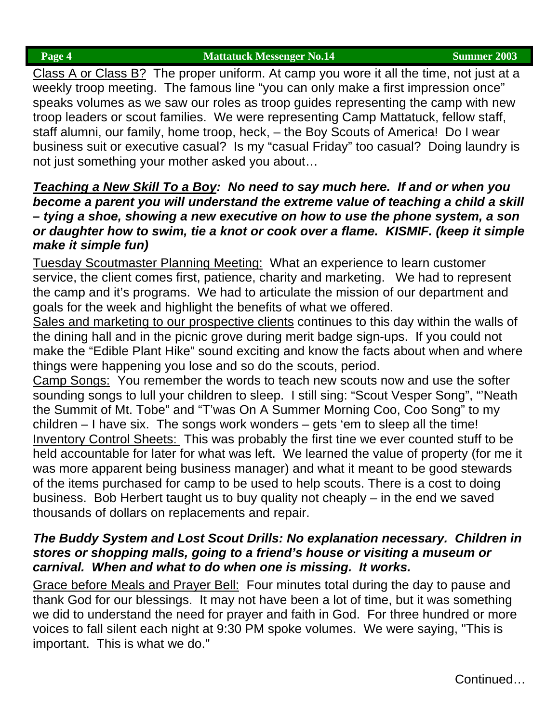**Page 4** Summer 2003

Class A or Class B? The proper uniform. At camp you wore it all the time, not just at a weekly troop meeting. The famous line "you can only make a first impression once" speaks volumes as we saw our roles as troop guides representing the camp with new troop leaders or scout families. We were representing Camp Mattatuck, fellow staff, staff alumni, our family, home troop, heck, – the Boy Scouts of America! Do I wear business suit or executive casual? Is my "casual Friday" too casual? Doing laundry is not just something your mother asked you about…

## *Teaching a New Skill To a Boy: No need to say much here. If and or when you become a parent you will understand the extreme value of teaching a child a skill – tying a shoe, showing a new executive on how to use the phone system, a son or daughter how to swim, tie a knot or cook over a flame. KISMIF. (keep it simple make it simple fun)*

Tuesday Scoutmaster Planning Meeting: What an experience to learn customer service, the client comes first, patience, charity and marketing. We had to represent the camp and it's programs. We had to articulate the mission of our department and goals for the week and highlight the benefits of what we offered.

Sales and marketing to our prospective clients continues to this day within the walls of the dining hall and in the picnic grove during merit badge sign-ups. If you could not make the "Edible Plant Hike" sound exciting and know the facts about when and where things were happening you lose and so do the scouts, period.

Camp Songs: You remember the words to teach new scouts now and use the softer sounding songs to lull your children to sleep. I still sing: "Scout Vesper Song", "'Neath the Summit of Mt. Tobe" and "T'was On A Summer Morning Coo, Coo Song" to my children – I have six. The songs work wonders – gets 'em to sleep all the time! Inventory Control Sheets: This was probably the first tine we ever counted stuff to be held accountable for later for what was left. We learned the value of property (for me it was more apparent being business manager) and what it meant to be good stewards of the items purchased for camp to be used to help scouts. There is a cost to doing business. Bob Herbert taught us to buy quality not cheaply – in the end we saved thousands of dollars on replacements and repair.

## *The Buddy System and Lost Scout Drills: No explanation necessary. Children in stores or shopping malls, going to a friend's house or visiting a museum or carnival. When and what to do when one is missing. It works.*

Grace before Meals and Prayer Bell: Four minutes total during the day to pause and thank God for our blessings. It may not have been a lot of time, but it was something we did to understand the need for prayer and faith in God. For three hundred or more voices to fall silent each night at 9:30 PM spoke volumes. We were saying, "This is important. This is what we do."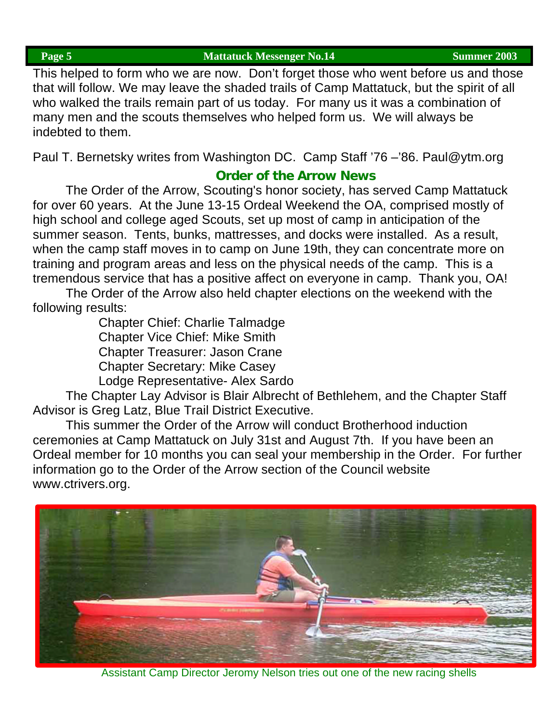This helped to form who we are now. Don't forget those who went before us and those that will follow. We may leave the shaded trails of Camp Mattatuck, but the spirit of all who walked the trails remain part of us today. For many us it was a combination of many men and the scouts themselves who helped form us. We will always be indebted to them.

Paul T. Bernetsky writes from Washington DC. Camp Staff '76 –'86. Paul@ytm.org

## **Order of the Arrow News**

The Order of the Arrow, Scouting's honor society, has served Camp Mattatuck for over 60 years. At the June 13-15 Ordeal Weekend the OA, comprised mostly of high school and college aged Scouts, set up most of camp in anticipation of the summer season. Tents, bunks, mattresses, and docks were installed. As a result, when the camp staff moves in to camp on June 19th, they can concentrate more on training and program areas and less on the physical needs of the camp. This is a tremendous service that has a positive affect on everyone in camp. Thank you, OA!

The Order of the Arrow also held chapter elections on the weekend with the following results:

> Chapter Chief: Charlie Talmadge Chapter Vice Chief: Mike Smith Chapter Treasurer: Jason Crane Chapter Secretary: Mike Casey Lodge Representative- Alex Sardo

The Chapter Lay Advisor is Blair Albrecht of Bethlehem, and the Chapter Staff Advisor is Greg Latz, Blue Trail District Executive.

This summer the Order of the Arrow will conduct Brotherhood induction ceremonies at Camp Mattatuck on July 31st and August 7th. If you have been an Ordeal member for 10 months you can seal your membership in the Order. For further information go to the Order of the Arrow section of the Council website www.ctrivers.org.



Assistant Camp Director Jeromy Nelson tries out one of the new racing shells